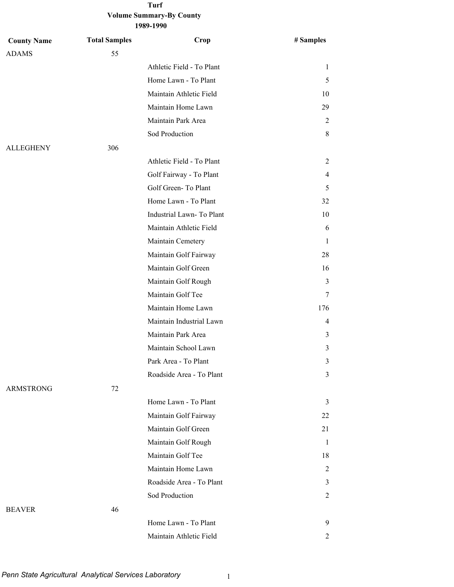| 1989-1990 |  |
|-----------|--|
|-----------|--|

| <b>County Name</b> | <b>Total Samples</b> | Crop                      | # Samples      |
|--------------------|----------------------|---------------------------|----------------|
| <b>ADAMS</b>       | 55                   |                           |                |
|                    |                      | Athletic Field - To Plant | 1              |
|                    |                      | Home Lawn - To Plant      | 5              |
|                    |                      | Maintain Athletic Field   | 10             |
|                    |                      | Maintain Home Lawn        | 29             |
|                    |                      | Maintain Park Area        | 2              |
|                    |                      | Sod Production            | 8              |
| <b>ALLEGHENY</b>   | 306                  |                           |                |
|                    |                      | Athletic Field - To Plant | 2              |
|                    |                      | Golf Fairway - To Plant   | 4              |
|                    |                      | Golf Green-To Plant       | 5              |
|                    |                      | Home Lawn - To Plant      | 32             |
|                    |                      | Industrial Lawn-To Plant  | 10             |
|                    |                      | Maintain Athletic Field   | 6              |
|                    |                      | Maintain Cemetery         | 1              |
|                    |                      | Maintain Golf Fairway     | 28             |
|                    |                      | Maintain Golf Green       | 16             |
|                    |                      | Maintain Golf Rough       | 3              |
|                    |                      | Maintain Golf Tee         | 7              |
|                    |                      | Maintain Home Lawn        | 176            |
|                    |                      | Maintain Industrial Lawn  | 4              |
|                    |                      | Maintain Park Area        | 3              |
|                    |                      | Maintain School Lawn      | 3              |
|                    |                      | Park Area - To Plant      | 3              |
|                    |                      | Roadside Area - To Plant  | 3              |
| <b>ARMSTRONG</b>   | 72                   |                           |                |
|                    |                      | Home Lawn - To Plant      | 3              |
|                    |                      | Maintain Golf Fairway     | 22             |
|                    |                      | Maintain Golf Green       | 21             |
|                    |                      | Maintain Golf Rough       | 1              |
|                    |                      | Maintain Golf Tee         | 18             |
|                    |                      | Maintain Home Lawn        | $\overline{c}$ |
|                    |                      | Roadside Area - To Plant  | 3              |
|                    |                      | Sod Production            | 2              |
| <b>BEAVER</b>      | 46                   |                           |                |
|                    |                      | Home Lawn - To Plant      | 9              |
|                    |                      | Maintain Athletic Field   | 2              |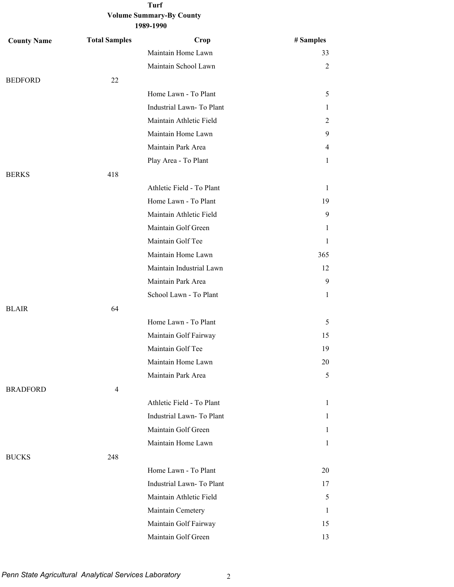| <b>County Name</b> | <b>Total Samples</b> | Crop                      | # Samples    |
|--------------------|----------------------|---------------------------|--------------|
|                    |                      | Maintain Home Lawn        | 33           |
|                    |                      | Maintain School Lawn      | 2            |
| <b>BEDFORD</b>     | 22                   |                           |              |
|                    |                      | Home Lawn - To Plant      | 5            |
|                    |                      | Industrial Lawn-To Plant  | 1            |
|                    |                      | Maintain Athletic Field   | 2            |
|                    |                      | Maintain Home Lawn        | 9            |
|                    |                      | Maintain Park Area        | 4            |
|                    |                      | Play Area - To Plant      | 1            |
| <b>BERKS</b>       | 418                  |                           |              |
|                    |                      | Athletic Field - To Plant | $\mathbf{1}$ |
|                    |                      | Home Lawn - To Plant      | 19           |
|                    |                      | Maintain Athletic Field   | 9            |
|                    |                      | Maintain Golf Green       | 1            |
|                    |                      | Maintain Golf Tee         | $\mathbf{1}$ |
|                    |                      | Maintain Home Lawn        | 365          |
|                    |                      | Maintain Industrial Lawn  | 12           |
|                    |                      | Maintain Park Area        | 9            |
|                    |                      | School Lawn - To Plant    | $\mathbf{1}$ |
| <b>BLAIR</b>       | 64                   |                           |              |
|                    |                      | Home Lawn - To Plant      | 5            |
|                    |                      | Maintain Golf Fairway     | 15           |
|                    |                      | Maintain Golf Tee         | 19           |
|                    |                      | Maintain Home Lawn        | 20           |
|                    |                      | Maintain Park Area        | 5            |
| <b>BRADFORD</b>    | $\overline{4}$       |                           |              |
|                    |                      | Athletic Field - To Plant | $\mathbf{1}$ |
|                    |                      | Industrial Lawn-To Plant  | 1            |
|                    |                      | Maintain Golf Green       | $\mathbf{1}$ |
|                    |                      | Maintain Home Lawn        | $\mathbf{1}$ |
| <b>BUCKS</b>       | 248                  |                           |              |
|                    |                      | Home Lawn - To Plant      | 20           |
|                    |                      | Industrial Lawn-To Plant  | 17           |
|                    |                      | Maintain Athletic Field   | 5            |
|                    |                      | Maintain Cemetery         | $\mathbf{1}$ |
|                    |                      | Maintain Golf Fairway     | 15           |
|                    |                      | Maintain Golf Green       | 13           |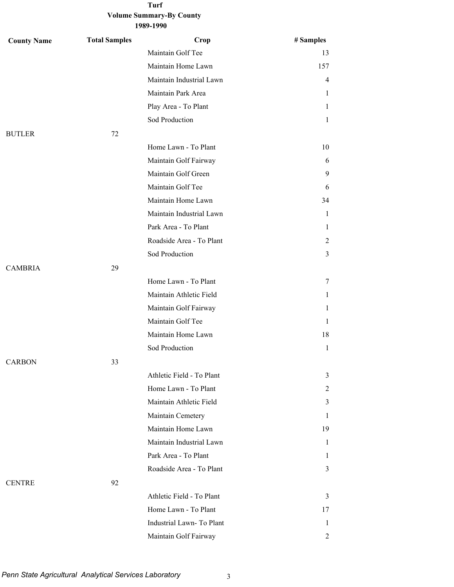### **Volume Summary-By County 1989-1990**

| <b>County Name</b> | <b>Total Samples</b> | Crop                      | # Samples    |
|--------------------|----------------------|---------------------------|--------------|
|                    |                      | Maintain Golf Tee         | 13           |
|                    |                      | Maintain Home Lawn        | 157          |
|                    |                      | Maintain Industrial Lawn  | 4            |
|                    |                      | Maintain Park Area        | 1            |
|                    |                      | Play Area - To Plant      | 1            |
|                    |                      | Sod Production            | 1            |
| <b>BUTLER</b>      | 72                   |                           |              |
|                    |                      | Home Lawn - To Plant      | 10           |
|                    |                      | Maintain Golf Fairway     | 6            |
|                    |                      | Maintain Golf Green       | 9            |
|                    |                      | Maintain Golf Tee         | 6            |
|                    |                      | Maintain Home Lawn        | 34           |
|                    |                      | Maintain Industrial Lawn  | 1            |
|                    |                      | Park Area - To Plant      | 1            |
|                    |                      | Roadside Area - To Plant  | 2            |
|                    |                      | Sod Production            | 3            |
| <b>CAMBRIA</b>     | 29                   |                           |              |
|                    |                      | Home Lawn - To Plant      | 7            |
|                    |                      | Maintain Athletic Field   | 1            |
|                    |                      | Maintain Golf Fairway     | 1            |
|                    |                      | Maintain Golf Tee         | 1            |
|                    |                      | Maintain Home Lawn        | 18           |
|                    |                      | Sod Production            | $\mathbf{1}$ |
| <b>CARBON</b>      | 33                   |                           |              |
|                    |                      | Athletic Field - To Plant | 3            |
|                    |                      | Home Lawn - To Plant      | 2            |
|                    |                      | Maintain Athletic Field   | 3            |
|                    |                      | Maintain Cemetery         | 1            |
|                    |                      | Maintain Home Lawn        | 19           |
|                    |                      | Maintain Industrial Lawn  | 1            |
|                    |                      | Park Area - To Plant      | 1            |
|                    |                      | Roadside Area - To Plant  | 3            |
| <b>CENTRE</b>      | 92                   |                           |              |
|                    |                      | Athletic Field - To Plant | 3            |
|                    |                      | Home Lawn - To Plant      | 17           |
|                    |                      | Industrial Lawn-To Plant  | 1            |
|                    |                      | Maintain Golf Fairway     | 2            |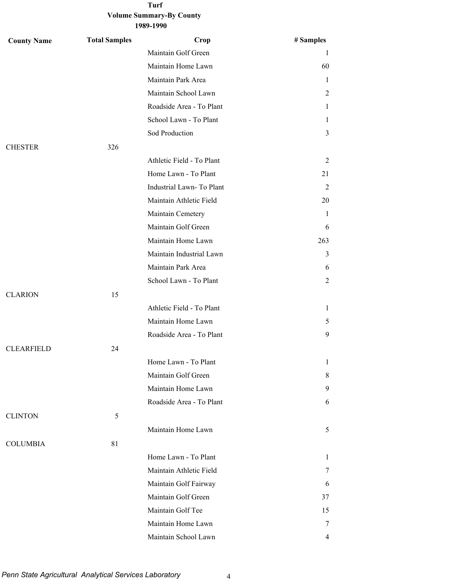# **Volume Summary-By County**

| <b>County Name</b> | <b>Total Samples</b> | Crop                      | # Samples |
|--------------------|----------------------|---------------------------|-----------|
|                    |                      | Maintain Golf Green       | 1         |
|                    |                      | Maintain Home Lawn        | 60        |
|                    |                      | Maintain Park Area        | 1         |
|                    |                      | Maintain School Lawn      | 2         |
|                    |                      | Roadside Area - To Plant  | 1         |
|                    |                      | School Lawn - To Plant    | 1         |
|                    |                      | Sod Production            | 3         |
| <b>CHESTER</b>     | 326                  |                           |           |
|                    |                      | Athletic Field - To Plant | 2         |
|                    |                      | Home Lawn - To Plant      | 21        |
|                    |                      | Industrial Lawn-To Plant  | 2         |
|                    |                      | Maintain Athletic Field   | 20        |
|                    |                      | Maintain Cemetery         | 1         |
|                    |                      | Maintain Golf Green       | 6         |
|                    |                      | Maintain Home Lawn        | 263       |
|                    |                      | Maintain Industrial Lawn  | 3         |
|                    |                      | Maintain Park Area        | 6         |
|                    |                      | School Lawn - To Plant    | 2         |
| <b>CLARION</b>     | 15                   |                           |           |
|                    |                      | Athletic Field - To Plant | 1         |
|                    |                      | Maintain Home Lawn        | 5         |
|                    |                      | Roadside Area - To Plant  | 9         |
| <b>CLEARFIELD</b>  | 24                   |                           |           |
|                    |                      | Home Lawn - To Plant      | 1         |
|                    |                      | Maintain Golf Green       | 8         |
|                    |                      | Maintain Home Lawn        | 9         |
|                    |                      | Roadside Area - To Plant  | 6         |
| <b>CLINTON</b>     | 5                    |                           |           |
|                    |                      | Maintain Home Lawn        | 5         |
| <b>COLUMBIA</b>    | 81                   |                           |           |
|                    |                      | Home Lawn - To Plant      | 1         |
|                    |                      | Maintain Athletic Field   | 7         |
|                    |                      | Maintain Golf Fairway     | 6         |
|                    |                      | Maintain Golf Green       | 37        |
|                    |                      | Maintain Golf Tee         | 15        |
|                    |                      | Maintain Home Lawn        | 7         |
|                    |                      | Maintain School Lawn      | 4         |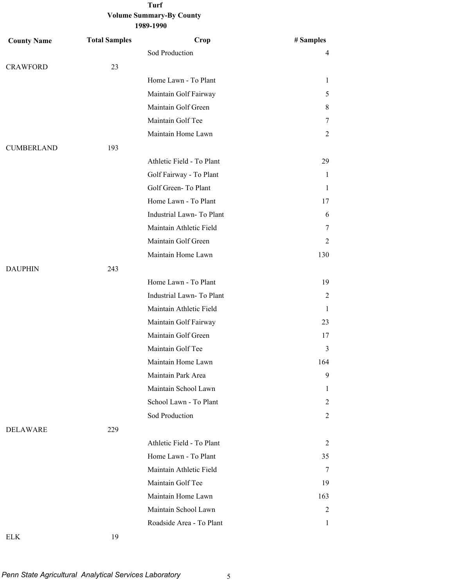| <b>County Name</b> | <b>Total Samples</b> | Crop                      | # Samples    |
|--------------------|----------------------|---------------------------|--------------|
|                    |                      | Sod Production            | 4            |
| <b>CRAWFORD</b>    | 23                   |                           |              |
|                    |                      | Home Lawn - To Plant      | $\mathbf{1}$ |
|                    |                      | Maintain Golf Fairway     | 5            |
|                    |                      | Maintain Golf Green       | 8            |
|                    |                      | Maintain Golf Tee         | 7            |
|                    |                      | Maintain Home Lawn        | 2            |
| <b>CUMBERLAND</b>  | 193                  |                           |              |
|                    |                      | Athletic Field - To Plant | 29           |
|                    |                      | Golf Fairway - To Plant   | 1            |
|                    |                      | Golf Green-To Plant       | 1            |
|                    |                      | Home Lawn - To Plant      | 17           |
|                    |                      | Industrial Lawn-To Plant  | 6            |
|                    |                      | Maintain Athletic Field   | 7            |
|                    |                      | Maintain Golf Green       | 2            |
|                    |                      | Maintain Home Lawn        | 130          |
| <b>DAUPHIN</b>     | 243                  |                           |              |
|                    |                      | Home Lawn - To Plant      | 19           |
|                    |                      | Industrial Lawn-To Plant  | 2            |
|                    |                      | Maintain Athletic Field   | 1            |
|                    |                      | Maintain Golf Fairway     | 23           |
|                    |                      | Maintain Golf Green       | 17           |
|                    |                      | Maintain Golf Tee         | 3            |
|                    |                      | Maintain Home Lawn        | 164          |
|                    |                      | Maintain Park Area        | 9            |
|                    |                      | Maintain School Lawn      | 1            |
|                    |                      | School Lawn - To Plant    | 2            |
|                    |                      | Sod Production            | 2            |
| DELAWARE           | 229                  |                           |              |
|                    |                      | Athletic Field - To Plant | 2            |
|                    |                      | Home Lawn - To Plant      | 35           |
|                    |                      | Maintain Athletic Field   | 7            |
|                    |                      | Maintain Golf Tee         | 19           |
|                    |                      | Maintain Home Lawn        | 163          |
|                    |                      | Maintain School Lawn      | 2            |
|                    |                      | Roadside Area - To Plant  | 1            |
|                    |                      |                           |              |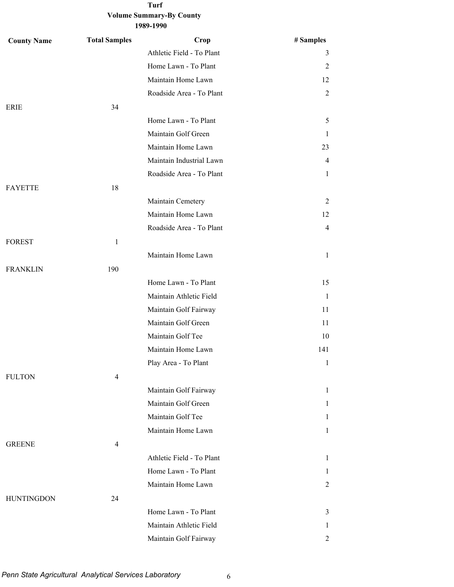| <b>County Name</b> | <b>Total Samples</b> | Crop                      | # Samples      |
|--------------------|----------------------|---------------------------|----------------|
|                    |                      | Athletic Field - To Plant | 3              |
|                    |                      | Home Lawn - To Plant      | 2              |
|                    |                      | Maintain Home Lawn        | 12             |
|                    |                      | Roadside Area - To Plant  | $\overline{2}$ |
| ERIE               | 34                   |                           |                |
|                    |                      | Home Lawn - To Plant      | 5              |
|                    |                      | Maintain Golf Green       | $\mathbf{1}$   |
|                    |                      | Maintain Home Lawn        | 23             |
|                    |                      | Maintain Industrial Lawn  | 4              |
|                    |                      | Roadside Area - To Plant  | 1              |
| <b>FAYETTE</b>     | 18                   |                           |                |
|                    |                      | Maintain Cemetery         | 2              |
|                    |                      | Maintain Home Lawn        | 12             |
|                    |                      | Roadside Area - To Plant  | 4              |
| <b>FOREST</b>      | $\mathbf{1}$         |                           |                |
|                    |                      | Maintain Home Lawn        | $\mathbf{1}$   |
| <b>FRANKLIN</b>    | 190                  |                           |                |
|                    |                      | Home Lawn - To Plant      | 15             |
|                    |                      | Maintain Athletic Field   | $\mathbf{1}$   |
|                    |                      | Maintain Golf Fairway     | 11             |
|                    |                      | Maintain Golf Green       | 11             |
|                    |                      | Maintain Golf Tee         | 10             |
|                    |                      | Maintain Home Lawn        | 141            |
|                    |                      | Play Area - To Plant      | $\mathbf{1}$   |
| <b>FULTON</b>      | $\overline{4}$       |                           |                |
|                    |                      | Maintain Golf Fairway     | $\mathbf{1}$   |
|                    |                      | Maintain Golf Green       | $\mathbf{1}$   |
|                    |                      | Maintain Golf Tee         | 1              |
|                    |                      | Maintain Home Lawn        | $\mathbf{1}$   |
| <b>GREENE</b>      | $\overline{4}$       |                           |                |
|                    |                      | Athletic Field - To Plant | $\mathbf{1}$   |
|                    |                      | Home Lawn - To Plant      | 1              |
|                    |                      | Maintain Home Lawn        | $\overline{2}$ |
| <b>HUNTINGDON</b>  | 24                   |                           |                |
|                    |                      | Home Lawn - To Plant      | 3              |
|                    |                      | Maintain Athletic Field   | 1              |
|                    |                      | Maintain Golf Fairway     | 2              |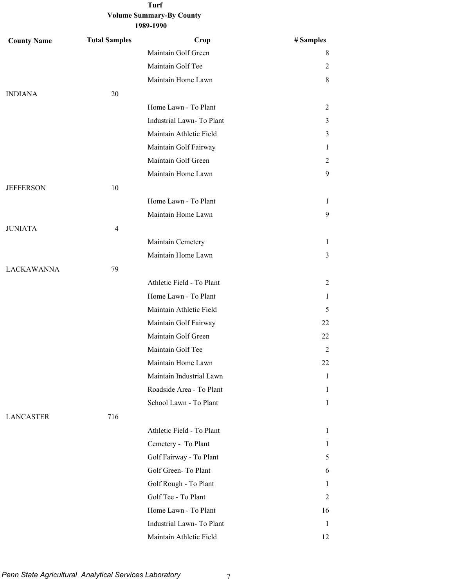| <b>County Name</b> | <b>Total Samples</b> | Crop                      | # Samples      |
|--------------------|----------------------|---------------------------|----------------|
|                    |                      | Maintain Golf Green       | 8              |
|                    |                      | Maintain Golf Tee         | 2              |
|                    |                      | Maintain Home Lawn        | 8              |
| <b>INDIANA</b>     | 20                   |                           |                |
|                    |                      | Home Lawn - To Plant      | 2              |
|                    |                      | Industrial Lawn-To Plant  | 3              |
|                    |                      | Maintain Athletic Field   | 3              |
|                    |                      | Maintain Golf Fairway     | 1              |
|                    |                      | Maintain Golf Green       | 2              |
|                    |                      | Maintain Home Lawn        | 9              |
| <b>JEFFERSON</b>   | 10                   |                           |                |
|                    |                      | Home Lawn - To Plant      | 1              |
|                    |                      | Maintain Home Lawn        | 9              |
| <b>JUNIATA</b>     | $\overline{4}$       |                           |                |
|                    |                      | Maintain Cemetery         | $\mathbf{1}$   |
|                    |                      | Maintain Home Lawn        | 3              |
| <b>LACKAWANNA</b>  | 79                   |                           |                |
|                    |                      | Athletic Field - To Plant | $\overline{2}$ |
|                    |                      | Home Lawn - To Plant      | 1              |
|                    |                      | Maintain Athletic Field   | 5              |
|                    |                      | Maintain Golf Fairway     | 22             |
|                    |                      | Maintain Golf Green       | 22             |
|                    |                      | Maintain Golf Tee         | 2              |
|                    |                      | Maintain Home Lawn        | 22             |
|                    |                      | Maintain Industrial Lawn  | 1              |
|                    |                      | Roadside Area - To Plant  | 1              |
|                    |                      | School Lawn - To Plant    | $\mathbf{1}$   |
| <b>LANCASTER</b>   | 716                  |                           |                |
|                    |                      | Athletic Field - To Plant | $\mathbf{1}$   |
|                    |                      | Cemetery - To Plant       | 1              |
|                    |                      | Golf Fairway - To Plant   | 5              |
|                    |                      | Golf Green-To Plant       | 6              |
|                    |                      | Golf Rough - To Plant     | 1              |
|                    |                      | Golf Tee - To Plant       | 2              |
|                    |                      | Home Lawn - To Plant      | 16             |
|                    |                      | Industrial Lawn-To Plant  | $\mathbf{1}$   |
|                    |                      | Maintain Athletic Field   | 12             |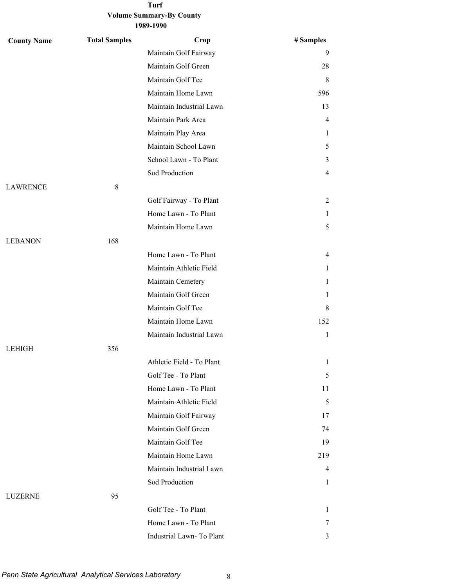### **Volume Summary-By County 1989-1990**

| <b>County Name</b> | <b>Total Samples</b> | Crop                      | # Samples      |
|--------------------|----------------------|---------------------------|----------------|
|                    |                      | Maintain Golf Fairway     | 9              |
|                    |                      | Maintain Golf Green       | 28             |
|                    |                      | Maintain Golf Tee         | 8              |
|                    |                      | Maintain Home Lawn        | 596            |
|                    |                      | Maintain Industrial Lawn  | 13             |
|                    |                      | Maintain Park Area        | $\overline{4}$ |
|                    |                      | Maintain Play Area        | 1              |
|                    |                      | Maintain School Lawn      | 5              |
|                    |                      | School Lawn - To Plant    | 3              |
|                    |                      | Sod Production            | $\overline{4}$ |
| <b>LAWRENCE</b>    | $8\,$                |                           |                |
|                    |                      | Golf Fairway - To Plant   | 2              |
|                    |                      | Home Lawn - To Plant      | 1              |
|                    |                      | Maintain Home Lawn        | 5              |
| <b>LEBANON</b>     | 168                  |                           |                |
|                    |                      | Home Lawn - To Plant      | 4              |
|                    |                      | Maintain Athletic Field   | 1              |
|                    |                      | Maintain Cemetery         | $\mathbf{1}$   |
|                    |                      | Maintain Golf Green       | 1              |
|                    |                      | Maintain Golf Tee         | 8              |
|                    |                      | Maintain Home Lawn        | 152            |
|                    |                      | Maintain Industrial Lawn  | $\mathbf{1}$   |
| <b>LEHIGH</b>      | 356                  |                           |                |
|                    |                      | Athletic Field - To Plant | 1              |
|                    |                      | Golf Tee - To Plant       | 5              |
|                    |                      | Home Lawn - To Plant      | 11             |
|                    |                      | Maintain Athletic Field   | 5              |
|                    |                      | Maintain Golf Fairway     | 17             |
|                    |                      | Maintain Golf Green       | 74             |
|                    |                      | Maintain Golf Tee         | 19             |
|                    |                      | Maintain Home Lawn        | 219            |
|                    |                      | Maintain Industrial Lawn  | 4              |
|                    |                      | Sod Production            | 1              |
| LUZERNE            | 95                   |                           |                |
|                    |                      | Golf Tee - To Plant       | $\mathbf{1}$   |
|                    |                      | Home Lawn - To Plant      | 7              |
|                    |                      | Industrial Lawn- To Plant | 3              |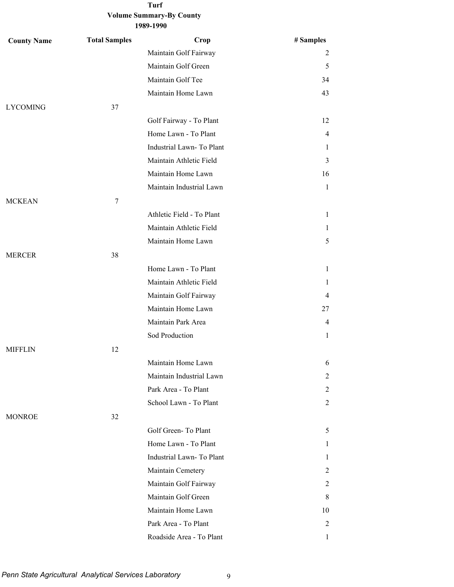| <b>County Name</b> | <b>Total Samples</b> | Crop                      | # Samples      |
|--------------------|----------------------|---------------------------|----------------|
|                    |                      | Maintain Golf Fairway     | 2              |
|                    |                      | Maintain Golf Green       | 5              |
|                    |                      | Maintain Golf Tee         | 34             |
|                    |                      | Maintain Home Lawn        | 43             |
| <b>LYCOMING</b>    | 37                   |                           |                |
|                    |                      | Golf Fairway - To Plant   | 12             |
|                    |                      | Home Lawn - To Plant      | 4              |
|                    |                      | Industrial Lawn-To Plant  | 1              |
|                    |                      | Maintain Athletic Field   | 3              |
|                    |                      | Maintain Home Lawn        | 16             |
|                    |                      | Maintain Industrial Lawn  | $\mathbf{1}$   |
| <b>MCKEAN</b>      | 7                    |                           |                |
|                    |                      | Athletic Field - To Plant | $\mathbf{1}$   |
|                    |                      | Maintain Athletic Field   | 1              |
|                    |                      | Maintain Home Lawn        | 5              |
| <b>MERCER</b>      | 38                   |                           |                |
|                    |                      | Home Lawn - To Plant      | $\mathbf{1}$   |
|                    |                      | Maintain Athletic Field   | 1              |
|                    |                      | Maintain Golf Fairway     | 4              |
|                    |                      | Maintain Home Lawn        | 27             |
|                    |                      | Maintain Park Area        | 4              |
|                    |                      | Sod Production            | 1              |
| <b>MIFFLIN</b>     | 12                   |                           |                |
|                    |                      | Maintain Home Lawn        | 6              |
|                    |                      | Maintain Industrial Lawn  | 2              |
|                    |                      | Park Area - To Plant      | 2              |
|                    |                      | School Lawn - To Plant    | 2              |
| <b>MONROE</b>      | 32                   |                           |                |
|                    |                      | Golf Green-To Plant       | 5              |
|                    |                      | Home Lawn - To Plant      | 1              |
|                    |                      | Industrial Lawn-To Plant  | 1              |
|                    |                      | Maintain Cemetery         | 2              |
|                    |                      | Maintain Golf Fairway     | 2              |
|                    |                      | Maintain Golf Green       | 8              |
|                    |                      | Maintain Home Lawn        | 10             |
|                    |                      | Park Area - To Plant      | $\overline{c}$ |
|                    |                      | Roadside Area - To Plant  | 1              |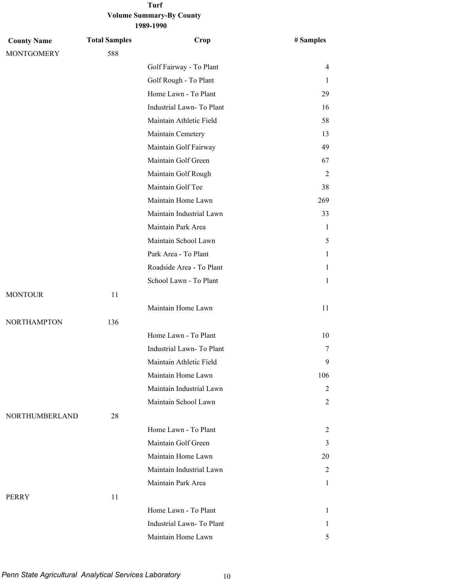### **Volume Summary-By County 1989-1990 Turf**

| <b>County Name</b> | <b>Total Samples</b> | Crop                     | # Samples    |
|--------------------|----------------------|--------------------------|--------------|
| <b>MONTGOMERY</b>  | 588                  |                          |              |
|                    |                      | Golf Fairway - To Plant  | 4            |
|                    |                      | Golf Rough - To Plant    | 1            |
|                    |                      | Home Lawn - To Plant     | 29           |
|                    |                      | Industrial Lawn-To Plant | 16           |
|                    |                      | Maintain Athletic Field  | 58           |
|                    |                      | Maintain Cemetery        | 13           |
|                    |                      | Maintain Golf Fairway    | 49           |
|                    |                      | Maintain Golf Green      | 67           |
|                    |                      | Maintain Golf Rough      | 2            |
|                    |                      | Maintain Golf Tee        | 38           |
|                    |                      | Maintain Home Lawn       | 269          |
|                    |                      | Maintain Industrial Lawn | 33           |
|                    |                      | Maintain Park Area       | 1            |
|                    |                      | Maintain School Lawn     | 5            |
|                    |                      | Park Area - To Plant     | 1            |
|                    |                      | Roadside Area - To Plant | 1            |
|                    |                      | School Lawn - To Plant   | 1            |
| <b>MONTOUR</b>     | 11                   |                          |              |
|                    |                      | Maintain Home Lawn       | 11           |
| <b>NORTHAMPTON</b> | 136                  |                          |              |
|                    |                      | Home Lawn - To Plant     | 10           |
|                    |                      | Industrial Lawn-To Plant | 7            |
|                    |                      | Maintain Athletic Field  | 9            |
|                    |                      | Maintain Home Lawn       | 106          |
|                    |                      | Maintain Industrial Lawn | 2            |
|                    |                      | Maintain School Lawn     | 2            |
| NORTHUMBERLAND     | 28                   |                          |              |
|                    |                      | Home Lawn - To Plant     | 2            |
|                    |                      | Maintain Golf Green      | 3            |
|                    |                      | Maintain Home Lawn       | 20           |
|                    |                      | Maintain Industrial Lawn | 2            |
|                    |                      | Maintain Park Area       | $\mathbf{1}$ |
| PERRY              | 11                   |                          |              |
|                    |                      | Home Lawn - To Plant     | $\mathbf{1}$ |
|                    |                      | Industrial Lawn-To Plant | 1            |
|                    |                      | Maintain Home Lawn       | 5            |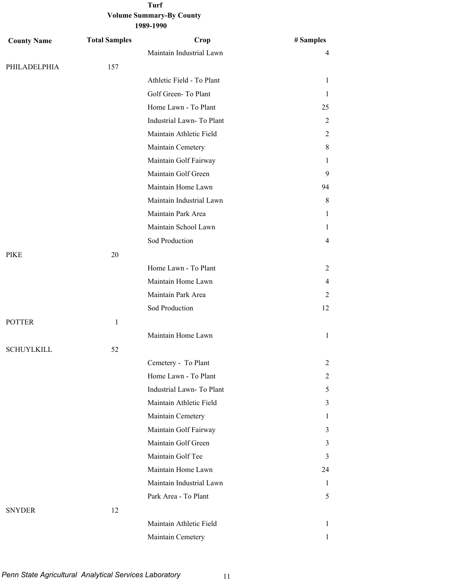| <b>County Name</b> | <b>Total Samples</b> | Crop                      | # Samples    |
|--------------------|----------------------|---------------------------|--------------|
|                    |                      | Maintain Industrial Lawn  | 4            |
| PHILADELPHIA       | 157                  |                           |              |
|                    |                      | Athletic Field - To Plant | 1            |
|                    |                      | Golf Green-To Plant       | 1            |
|                    |                      | Home Lawn - To Plant      | 25           |
|                    |                      | Industrial Lawn-To Plant  | 2            |
|                    |                      | Maintain Athletic Field   | 2            |
|                    |                      | Maintain Cemetery         | 8            |
|                    |                      | Maintain Golf Fairway     | 1            |
|                    |                      | Maintain Golf Green       | 9            |
|                    |                      | Maintain Home Lawn        | 94           |
|                    |                      | Maintain Industrial Lawn  | 8            |
|                    |                      | Maintain Park Area        | 1            |
|                    |                      | Maintain School Lawn      | 1            |
|                    |                      | Sod Production            | 4            |
| <b>PIKE</b>        | 20                   |                           |              |
|                    |                      | Home Lawn - To Plant      | 2            |
|                    |                      | Maintain Home Lawn        | 4            |
|                    |                      | Maintain Park Area        | 2            |
|                    |                      | Sod Production            | 12           |
| <b>POTTER</b>      | $\mathbf{1}$         |                           |              |
|                    |                      | Maintain Home Lawn        | 1            |
| <b>SCHUYLKILL</b>  | 52                   |                           |              |
|                    |                      | Cemetery - To Plant       | 2            |
|                    |                      | Home Lawn - To Plant      | 2            |
|                    |                      | Industrial Lawn-To Plant  | 5            |
|                    |                      | Maintain Athletic Field   | 3            |
|                    |                      | Maintain Cemetery         | 1            |
|                    |                      | Maintain Golf Fairway     | 3            |
|                    |                      | Maintain Golf Green       | 3            |
|                    |                      | Maintain Golf Tee         | 3            |
|                    |                      | Maintain Home Lawn        | 24           |
|                    |                      | Maintain Industrial Lawn  | 1            |
|                    |                      | Park Area - To Plant      | 5            |
| <b>SNYDER</b>      | 12                   |                           |              |
|                    |                      | Maintain Athletic Field   | 1            |
|                    |                      | Maintain Cemetery         | $\mathbf{1}$ |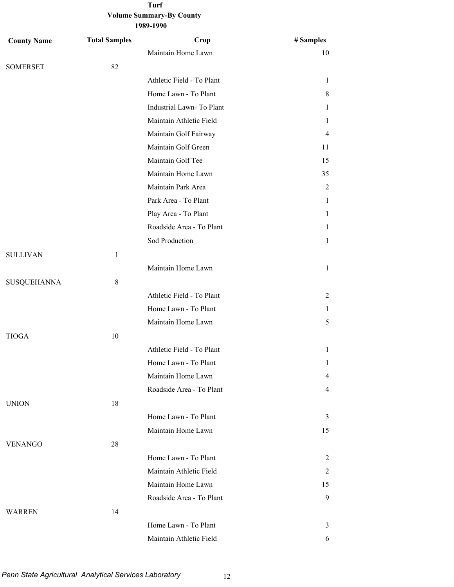| <b>County Name</b> | <b>Total Samples</b> | Crop                      | # Samples      |
|--------------------|----------------------|---------------------------|----------------|
|                    |                      | Maintain Home Lawn        | 10             |
| <b>SOMERSET</b>    | 82                   |                           |                |
|                    |                      | Athletic Field - To Plant | $\mathbf{1}$   |
|                    |                      | Home Lawn - To Plant      | 8              |
|                    |                      | Industrial Lawn-To Plant  | 1              |
|                    |                      | Maintain Athletic Field   | 1              |
|                    |                      | Maintain Golf Fairway     | $\overline{4}$ |
|                    |                      | Maintain Golf Green       | 11             |
|                    |                      | Maintain Golf Tee         | 15             |
|                    |                      | Maintain Home Lawn        | 35             |
|                    |                      | Maintain Park Area        | $\overline{2}$ |
|                    |                      | Park Area - To Plant      | 1              |
|                    |                      | Play Area - To Plant      | 1              |
|                    |                      | Roadside Area - To Plant  | 1              |
|                    |                      | Sod Production            | 1              |
| <b>SULLIVAN</b>    | $\mathbf{1}$         |                           |                |
|                    |                      | Maintain Home Lawn        | $\mathbf{1}$   |
| <b>SUSQUEHANNA</b> | 8                    |                           |                |
|                    |                      | Athletic Field - To Plant | 2              |
|                    |                      | Home Lawn - To Plant      | 1              |
|                    |                      | Maintain Home Lawn        | 5              |
| <b>TIOGA</b>       | 10                   |                           |                |
|                    |                      | Athletic Field - To Plant | $\mathbf{1}$   |
|                    |                      | Home Lawn - To Plant      | 1              |
|                    |                      | Maintain Home Lawn        | 4              |
|                    |                      | Roadside Area - To Plant  | $\overline{4}$ |
| <b>UNION</b>       | 18                   |                           |                |
|                    |                      | Home Lawn - To Plant      | 3              |
|                    |                      | Maintain Home Lawn        | 15             |
| <b>VENANGO</b>     | 28                   |                           |                |
|                    |                      | Home Lawn - To Plant      | 2              |
|                    |                      | Maintain Athletic Field   | 2              |
|                    |                      | Maintain Home Lawn        | 15             |
|                    |                      | Roadside Area - To Plant  | 9              |
| <b>WARREN</b>      | 14                   |                           |                |
|                    |                      | Home Lawn - To Plant      | 3              |
|                    |                      | Maintain Athletic Field   | 6              |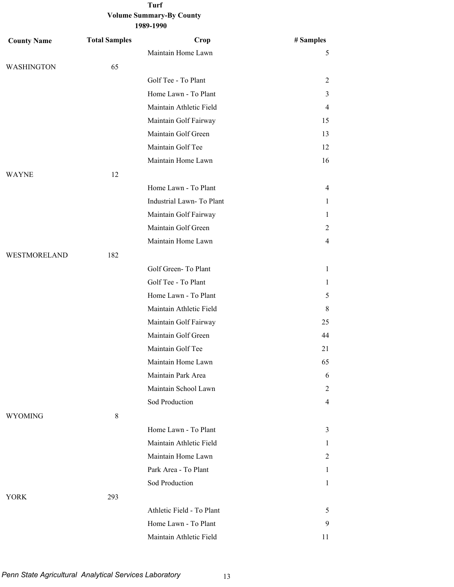| <b>County Name</b> | <b>Total Samples</b> | Crop                      | # Samples      |
|--------------------|----------------------|---------------------------|----------------|
|                    |                      | Maintain Home Lawn        | 5              |
| <b>WASHINGTON</b>  | 65                   |                           |                |
|                    |                      | Golf Tee - To Plant       | 2              |
|                    |                      | Home Lawn - To Plant      | 3              |
|                    |                      | Maintain Athletic Field   | $\overline{4}$ |
|                    |                      | Maintain Golf Fairway     | 15             |
|                    |                      | Maintain Golf Green       | 13             |
|                    |                      | Maintain Golf Tee         | 12             |
|                    |                      | Maintain Home Lawn        | 16             |
| <b>WAYNE</b>       | 12                   |                           |                |
|                    |                      | Home Lawn - To Plant      | $\overline{4}$ |
|                    |                      | Industrial Lawn-To Plant  | 1              |
|                    |                      | Maintain Golf Fairway     | 1              |
|                    |                      | Maintain Golf Green       | 2              |
|                    |                      | Maintain Home Lawn        | $\overline{4}$ |
| WESTMORELAND       | 182                  |                           |                |
|                    |                      | Golf Green-To Plant       | $\mathbf{1}$   |
|                    |                      | Golf Tee - To Plant       | 1              |
|                    |                      | Home Lawn - To Plant      | 5              |
|                    |                      | Maintain Athletic Field   | 8              |
|                    |                      | Maintain Golf Fairway     | 25             |
|                    |                      | Maintain Golf Green       | 44             |
|                    |                      | Maintain Golf Tee         | 21             |
|                    |                      | Maintain Home Lawn        | 65             |
|                    |                      | Maintain Park Area        | 6              |
|                    |                      | Maintain School Lawn      | 2              |
|                    |                      | Sod Production            | $\overline{4}$ |
| <b>WYOMING</b>     | 8                    |                           |                |
|                    |                      | Home Lawn - To Plant      | 3              |
|                    |                      | Maintain Athletic Field   | 1              |
|                    |                      | Maintain Home Lawn        | 2              |
|                    |                      | Park Area - To Plant      | 1              |
|                    |                      | Sod Production            | $\mathbf{1}$   |
| <b>YORK</b>        | 293                  |                           |                |
|                    |                      | Athletic Field - To Plant | 5              |
|                    |                      | Home Lawn - To Plant      | 9              |
|                    |                      | Maintain Athletic Field   | 11             |